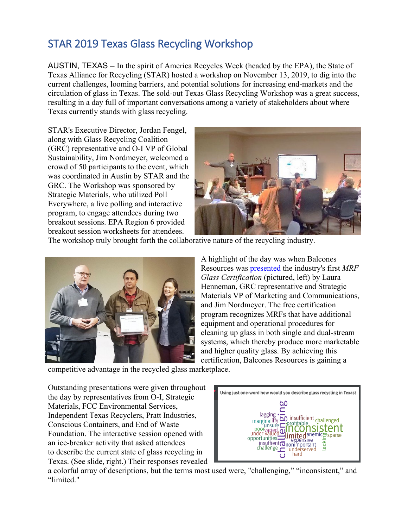## STAR 2019 Texas Glass Recycling Workshop

AUSTIN, TEXAS – In the spirit of America Recycles Week (headed by the EPA), the State of Texas Alliance for Recycling (STAR) hosted a workshop on November 13, 2019, to dig into the current challenges, looming barriers, and potential solutions for increasing end-markets and the circulation of glass in Texas. The sold-out Texas Glass Recycling Workshop was a great success, resulting in a day full of important conversations among a variety of stakeholders about where Texas currently stands with glass recycling.

STAR's Executive Director, Jordan Fengel, along with Glass Recycling Coalition (GRC) representative and O-I VP of Global Sustainability, Jim Nordmeyer, welcomed a crowd of 50 participants to the event, which was coordinated in Austin by STAR and the GRC. The Workshop was sponsored by Strategic Materials, who utilized Poll Everywhere, a live polling and interactive program, to engage attendees during two breakout sessions. EPA Region 6 provided breakout session worksheets for attendees.



The workshop truly brought forth the collaborative nature of the recycling industry.



A highlight of the day was when Balcones Resources was [presented](https://2c407312-aaa5-4644-ae24-0a080aba7010.filesusr.com/ugd/b315de_91a8959dbcbf452480e38485e0ee43de.pdf?index=true) the industry's first *MRF Glass Certification* (pictured, left) by Laura Henneman, GRC representative and Strategic Materials VP of Marketing and Communications, and Jim Nordmeyer. The free certification program recognizes MRFs that have additional equipment and operational procedures for cleaning up glass in both single and dual-stream systems, which thereby produce more marketable and higher quality glass. By achieving this certification, Balcones Resources is gaining a

competitive advantage in the recycled glass marketplace.

Outstanding presentations were given throughout the day by representatives from O-I, Strategic Materials, FCC Environmental Services, Independent Texas Recyclers, Pratt Industries, Conscious Containers, and End of Waste Foundation. The interactive session opened with an ice-breaker activity that asked attendees to describe the current state of glass recycling in Texas. (See slide, right.) Their responses revealed



a colorful array of descriptions, but the terms most used were, "challenging," "inconsistent," and "limited."